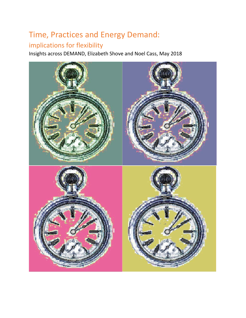# Time, Practices and Energy Demand:

## implications for flexibility

Insights across DEMAND, Elizabeth Shove and Noel Cass, May 2018

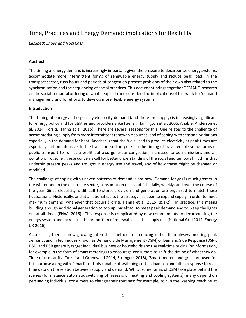### Time, Practices and Energy Demand: implications for flexibility

*Elizabeth Shove and Noel Cass*

#### **Abstract**

The timing of energy demand is increasingly important given the pressure to decarbonise energy systems, accommodate more intermittent forms of renewable energy supply and reduce peak load. In the transport sector, rush hours and periods of congestion present problems of their own also related to the synchronisation and the sequencing of social practices. This document brings together DEMAND research on the social-temporal ordering of what people do and considers the implications of this work for 'demand management' and for efforts to develop more flexible energy systems.

#### **Introduction**

The timing of energy and especially electricity demand (and therefore supply) is increasingly significant for energy policy and for utilities and providers alike (Geller, Harrington et al. 2006, Anable, Anderson et al. 2014, Torriti, Hanna et al. 2015). There are several reasons for this. One relates to the challenge of accommodating supply from more intermittent renewable sources, and of coping with seasonal variations especially in the demand for heat. Another is that the fuels used to produce electricity at peak times are especially carbon intensive. In the transport sector, peaks in the timing of travel enable some forms of public transport to run at a profit but also generate congestion, increased carbon emissions and air pollution. Together, these concerns call for better understanding of the social and temporal rhythms that underpin present peaks and troughs in energy use and travel, and of how these might be changed or modified.

The challenge of coping with uneven patterns of demand is not new. Demand for gas is much greater in the winter and in the electricity sector, consumption rises and falls daily, weekly, and over the course of the year. Since electricity is difficult to store, provision and generation are organised to match these fluctuations. Historically, and at a national scale, the strategy has been to expand supply in order to meet maximum demand, whenever that occurs (Torriti, Hanna et al. 2015: 891-2). In practice, this means building enough additional generation to top up 'baseload' to meet peak demand and to 'keep the lights on' at all times (ENWL 2016). This response is complicated by new commitments to decarbonising the energy system and increasing the proportion of renewables in the supply mix (National Grid 2014, Energy UK 2016).

As a result, there is now growing interest in methods of reducing rather than always meeting peak demand, and in techniques known as Demand Side Management (DSM) or Demand Side Response (DSR). DSM and DSR generally target individual business or households and use real-time pricing (or information, for example in the form of smart metering) to encourage consumers to shift the timing of what they do. Time of use tariffs (Torriti and Grunewald 2014, Strengers 2018), 'Smart' meters and grids are used for this purpose along with 'smart' controls capable of switching certain loads on and off in response to realtime data on the relation between supply and demand. Whilst some forms of DSM take place behind the scenes (for instance automatic switching of freezers or heating and cooling systems), many depend on persuading individual consumers to change their routines: for example, to run the washing machine at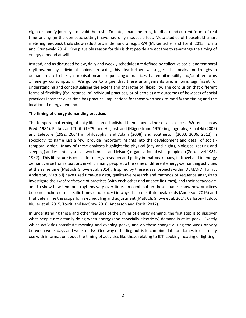night or modify journeys to avoid the rush. To date, smart-metering feedback and current forms of real time pricing (in the domestic setting) have had only modest effect. Meta-studies of household smart metering feedback trials show reductions in demand of e.g. 3-5% (McKerracher and Torriti 2013, Torriti and Grunewald 2014). One plausible reason for this is that people are *not* free to re-arrange the timing of energy demand at will.

Instead, and as discussed below, daily and weekly schedules are defined by collective social and temporal rhythms, not by individual choice. In taking this idea further, we suggest that peaks and troughs in demand relate to the synchronisation and sequencing of practices that entail mobility and/or other forms of energy consumption. We go on to argue that these arrangements are, in turn, significant for understanding and conceptualising the extent and character of 'flexibility. The conclusion that different forms of flexibility (for instance, of individual practices, or of people) are outcomes of how sets of social practices intersect over time has practical implications for those who seek to modify the timing and the location of energy demand.

#### **The timing of energy demanding practices**

The temporal patterning of daily life is an established theme across the social sciences. Writers such as Pred (1981), Parkes and Thrift (1979) and Hägerstrand (Hägerstrand 1970) in geography; Schatzki (2009) and Lefebvre (1992, 2004) in philosophy, and Adam (2008) and Southerton (2003, 2006, 2012) in sociology, to name just a few, provide important insights into the development and detail of socialtemporal order. Many of these analyses highlight the physical (day and night), biological (eating and sleeping) and essentially social (work, meals and leisure) organisation of what people do (Zerubavel 1981, 1982). This literature is crucial for energy research and policy in that peak loads, in travel and in energy demand, arise from situations in which many people do the same or different energy-demanding activities at the same time (Mattioli, Shove et al. 2014). Inspired by these ideas, projects within DEMAND (Torriti, Anderson, Mattioli) have used time-use data, qualitative research and methods of sequence analysis to investigate the *synchronisation* of practices (with each other and at specific times), and their *sequencing,*  and to show how temporal rhythms vary over time*.* In combination these studies show how practices become anchored to specific times (and places) in ways that constitute peak loads (Anderson 2016) and that determine the scope for re-scheduling and adjustment (Mattioli, Shove et al. 2014, Carlsson-Hyslop, Kiuijer et al. 2015, Torriti and McGraw 2016, Anderson and Torriti 2017).

In understanding these and other features of the timing of energy demand, the first step is to discover what people are actually doing when energy (and especially electricity) demand is at its peak. Exactly which activities constitute morning and evening peaks, and do these change during the week or vary between week-days and week-ends? One way of finding out is to combine data on domestic electricity use with information about the timing of activities like those relating to ICT, cooking, heating or lighting.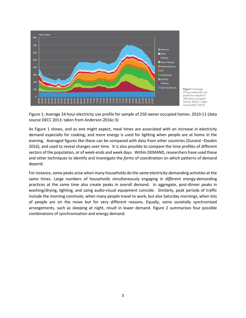

Figure 1 Average 24 hour electricity use profile for sample of 250 owner occupied homes. 2010-11 (data source DECC 2013)

Figure 1: Average 24 hour electricity use profile for sample of 250 owner occupied homes. 2010-11 (data source DECC 2013: taken from Anderson 2016c:3)

As Figure 1 shows, and as one might expect, meal times are associated with an increase in electricity demand especially for cooking; and more energy is used for lighting when people are at home in the evening. Averaged figures like these can be compared with data from other countries (Durand –Daubin 2016), and used to reveal changes over time. It is also possible to compare the time profiles of different sectors of the population, or of week-ends and week days. Within DEMAND, researchers have used these and other techniques to identify and investigate the *forms* of coordination on which patterns of demand depend.

For instance, some peaks arise when many households do the *same* electricity-demanding activities at the same times. Large numbers of households simultaneously engaging in *different* energy-demanding practices at the same time also create peaks in overall demand. In aggregate, post-dinner peaks in washing/drying, lighting, and using audio-visual equipment coincide. Similarly, peak periods of traffic include the morning commute, when many people travel to work, but also Saturday mornings, when lots of people are on the move but for very different reasons. Equally, some societally synchronised arrangements, such as sleeping at night, result in lower demand. Figure 2 summarises four possible combinations of synchronisation and energy demand.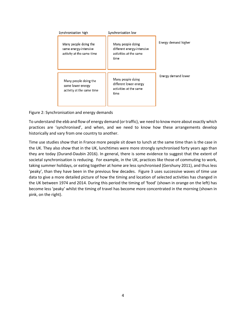| Synchronisation high                                                        | Synchronisation low                                                               |                      |
|-----------------------------------------------------------------------------|-----------------------------------------------------------------------------------|----------------------|
| Many people doing the<br>same energy-intensive<br>activity at the same time | Many people doing<br>different energy-intensive<br>activities at the same<br>time | Energy demand higher |
| Many people doing the<br>same lower energy<br>activity at the same time     | Many people doing<br>different lower energy<br>activities at the same<br>time     | Energy demand lower  |

Figure 2: Synchronisation and energy demands

To understand the ebb and flow of energy demand (or traffic), we need to know more about exactly which practices are 'synchronised', and when, and we need to know how these arrangements develop historically and vary from one country to another.

Time use studies show that in France more people sit down to lunch at the same time than is the case in the UK. They also show that in the UK, lunchtimes were more strongly synchronised forty years ago than they are today (Durand-Daubin 2016). In general, there is some evidence to suggest that the extent of societal synchronisation is reducing. For example, in the UK, practices like those of commuting to work, taking summer holidays, or eating together at home are less synchronised (Gershuny 2011), and thus less 'peaky', than they have been in the previous few decades. Figure 3 uses successive waves of time use data to give a more detailed picture of how the timing and location of selected activities has changed in the UK between 1974 and 2014. During this period the timing of 'food' (shown in orange on the left) has become less 'peaky' whilst the timing of travel has become more concentrated in the morning (shown in pink, on the right).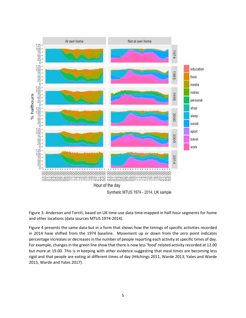

Figure 3: Anderson and Torriti, based on UK time-use data time-mapped in half-hour segments for home and other locations (data sources MTUS 1974-2014).

Figure 4 presents the same data but in a form that shows how the timings of specific activities recorded in 2014 have shifted from the 1974 baseline. Movement up or down from the zero point indicates percentage increases or decreases in the number of people reporting each activity at specific times of day. For example, changes in the green line show that there is now less 'food' related activity recorded at 12.00 but more at 19.00. This is in keeping with other evidence suggesting that meal times are becoming less rigid and that people are eating at different times of day (Hitchings 2011, Warde 2013, Yates and Warde 2015, Warde and Yates 2017).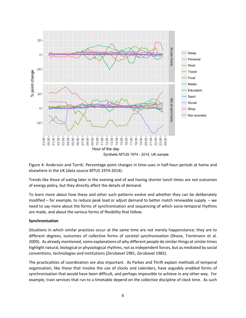

Figure 4: Anderson and Torriti. Percentage point changes in time-uses in half-hour periods at home and elsewhere in the UK (data source MTUS 1974-2014).

Trends like those of eating later in the evening and of and having shorter lunch times are not outcomes of energy policy, but they directly affect the details of demand.

To learn more about how these and other such patterns evolve and whether they can be deliberately modified – for example, to reduce peak load or adjust demand to better match renewable supply – we need to say more about the forms of synchronisation and sequencing of which socio-temporal rhythms are made, and about the various forms of flexibility that follow.

#### **Synchronisation**

Situations in which similar practices occur at the same time are not merely happenstance; they are to different degrees, outcomes of collective forms of *societal synchronisation* (Shove, Trentmann et al. 2009). As already mentioned, some explanations of why different people do similar things at similar times highlight natural, biological or physiological rhythms, not as independent forces, but as mediated by social conventions, technologies and institutions (Zerubavel 1981, Zerubavel 1982).

The practicalities of coordination are also important. As Parkes and Thrift explain methods of temporal organisation, like those that involve the use of clocks and calendars, have arguably enabled forms of synchronisation that would have been difficult, and perhaps impossible to achieve in any other way. For example, train services that run to a timetable depend on the collective discipline of clock time. As such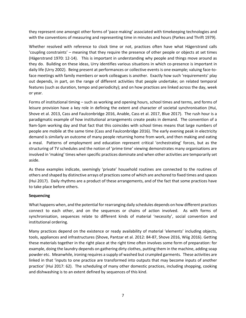they represent one amongst other forms of 'pace making' associated with timekeeping technologies and with the conventions of measuring and representing time in minutes and hours (Parkes and Thrift 1979).

Whether resolved with reference to clock time or not, practices often have what Hägerstrand calls 'coupling constraints' – meaning that they require the presence of other people or objects at set times (Hägerstrand 1970: 12-14). This is important in understanding why people and things move around as they do. Building on these ideas, Urry identifies various situations in which co-presence is important in daily life (Urry 2002). Being present at performances or collective events is one example; valuing face-toface meetings with family members or work colleagues is another. Exactly how such 'requirements' play out depends, in part, on the range of different activities that people undertake; on related temporal features (such as duration, tempo and periodicity); and on how practices are linked across the day, week or year.

Forms of institutional timing – such as working and opening hours, school times and terms, and forms of leisure provision have a key role in defining the extent and character of societal synchronisation (Hui, Shove et al. 2013, Cass and Faulconbridge 2016, Anable, Cass et al. 2017, Blue 2017). The rush hour is a paradigmatic example of how institutional arrangements create peaks in demand. The convention of a 9am-5pm working day and that fact that this coincides with school times means that large numbers of people are mobile at the same time (Cass and Faulconbridge 2016). The early evening peak in electricity demand is similarly an outcome of many people returning home from work, and then making and eating a meal. Patterns of employment and education represent critical 'orchestrating' forces, but as the structuring of TV schedules and the notion of 'prime time' viewing demonstrates many organisations are involved in 'making' times when specific practices dominate and when other activities are temporarily set aside.

As these examples indicate, seemingly 'private' household routines are connected to the routines of others and shaped by distinctive arrays of practices some of which are anchored to fixed times and spaces (Hui 2017). Daily rhythms are a product of these arrangements, and of the fact that some practices have to take place before others.

#### **Sequencing**

What happens when, and the potential for rearranging daily schedules depends on how different practices connect to each other, and on the sequences or chains of action involved. As with forms of synchronisation, sequences relate to different kinds of material 'necessity', social convention and institutional ordering.

Many practices depend on the existence or ready availability of material 'elements' including objects, tools, appliances and infrastructures (Shove, Pantzar et al. 2012: 84-87, Shove 2016, Wiig 2016). Getting these materials together in the right place at the right time often involves some form of preparation: for example, doing the laundry depends on gathering dirty clothes, putting them in the machine, adding soap powder etc. Meanwhile, ironing requires a supply of washed but crumpled garments. These activities are linked in that 'inputs to one practice are transformed into outputs that may become inputs of another practice' (Hui 2017: 62). The scheduling of many other domestic practices, including shopping, cooking and dishwashing is to an extent defined by sequences of this kind.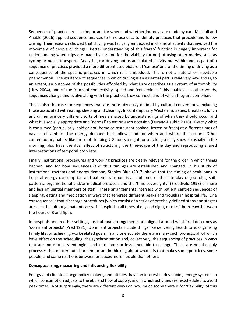Sequences of practice are also important for when and whether journeys are made by car. Mattioli and Anable (2016) applied sequence-analysis to time-use data to identify practices that precede and follow driving. Their research showed that driving was typically embedded in chains of activity that involved the movement of people or things. Better understanding of this 'cargo' function is hugely important for understanding when trips are made by car and for the viability (or not) of using other modes, such as cycling or public transport. Analysing car driving not as an isolated activity but within and as part of a sequence of practices provided a more differentiated picture of 'car use' and of the timing of driving as a consequence of the specific practices in which it is embedded. This is not a natural or inevitable phenomenon. The existence of sequences in which driving is an essential part is relatively new and is, to an extent, an outcome of the possibilities afforded by what Urry describes as a system of automobility (Urry 2004), and of the forms of connectivity, speed and 'convenience' this enables. In other words, sequences change and evolve along with the practices they connect, and of which they are comprised.

This is also the case for sequences that are more obviously defined by cultural conventions, including those associated with eating, sleeping and cleaning. In contemporary Western societies, breakfast, lunch and dinner are very different sorts of meals shaped by understandings of when they should occur and what it is socially appropriate and 'normal' to eat on each occasion (Durand-Daubin 2016). Exactly what is consumed (particularly, cold or hot, home or restaurant cooked, frozen or fresh) at different times of day is relevant for the energy demand that follows and for when and where this occurs. Other contemporary habits, like those of sleeping 7-8 hours a night, or of taking a daily shower (usually in the morning) also have the dual effect of structuring the time-scape of the day and reproducing shared interpretations of temporal propriety.

Finally, institutional procedures and working practices are clearly relevant for the order in which things happen, and for how sequences (and thus timings) are established and changed. In his study of institutional rhythms and energy demand, Stanley Blue (2017) shows that the timing of peak loads in hospital energy consumption and patient transport is an outcome of the interplay of job-roles, shift patterns, organisational and/or medical protocols and the 'time sovereignty' (Breedveld 1998) of more and less influential members of staff. These arrangements intersect with patient centred sequences of sleeping, eating and medication in ways that generate different peaks and troughs in hospital life. One consequence is that discharge procedures (which consist of a series of precisely defined steps and stages) are such that although patients arrive in hospital at all times of day and night, most of them leave between the hours of 3 and 5pm.

In hospitals and in other settings, institutional arrangements are aligned around what Pred describes as 'dominant projects' (Pred 1981). Dominant projects include things like delivering health care, organising family life, or achieving work-related goals. In any one society there are many such projects, all of which have effect on the scheduling, the synchronisation and, collectively, the sequencing of practices in ways that are more or less entangled and thus more or less amenable to change. These are not the only processes that matter but all are important in thinking about what it is that makes some practices, some people, and some relations between practices more flexible than others.

#### **Conceptualising, measuring and influencing flexibility**

Energy and climate change policy makers, and utilities, have an interest in developing energy systems in which consumption adjusts to the ebb and flow of supply, and in which activities are re-scheduled to avoid peak times. Not surprisingly, there are different views on how much scope there is for 'flexibility' of this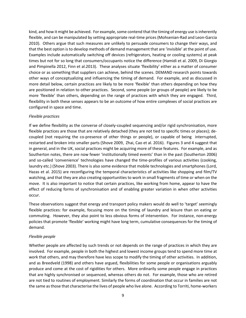kind, and how it might be achieved. For example, some contend that the timing of energy use is inherently flexible, and can be manipulated by setting appropriate real-time prices (Mohsenian-Rad and Leon-Garcia 2010). Others argue that such measures are unlikely to persuade consumers to change their ways, and that the best option is to develop methods of demand management that are 'invisible' at the point of use. Examples include automatically switching off devices (refrigerators, heating or cooling systems) at peak times but not for so long that consumers/occupants notice the difference (Hamidi et al. 2009, Di Giorgio and Pimpinella 2012, Finn et al.2013). These analyses situate 'flexibility' either as a matter of consumer choice or as something that suppliers can achieve, behind the scenes. DEMAND research points towards other ways of conceptualizing and influencing the timing of demand. For example, and as discussed in more detail below, certain practices are likely to be more 'flexible' than others depending on how they are positioned in relation to other practices. Second, some people (or groups of people) are likely to be more 'flexible' than others, depending on the range of practices with which they are engaged. Third, flexibility in both these senses appears to be an outcome of how entire complexes of social practices are configured in space and time.

#### *Flexible practices*

If we define flexibility as the converse of closely-coupled sequencing and/or rigid synchronisation, more flexible practices are those that are relatively detached (they are not tied to specific times or places); decoupled (not requiring the co-presence of other things or people), or capable of being interrupted, restarted and broken into smaller parts (Shove 2009, Zhai, Cao et al. 2016). Figures 3 and 4 suggest that in general, and in the UK, social practices might be acquiring more of these features. For example, and as Southerton notes, there are now fewer 'institutionally timed events' than in the past (Southerton 2006) and so-called 'convenience' technologies have changed the time-profiles of various activities (cooking, laundry etc.) (Shove 2003). There is also some evidence that mobile technologies and smartphones (Lord, Hazas et al. 2015) are reconfiguring the temporal characteristics of activities like shopping and film/TV watching, and that they are also creating opportunities to work in small fragments of time or when on the move. It is also important to notice that certain practices, like working from home, appear to have the effect of reducing forms of synchronisation and of enabling greater variation in when other activities occur.

These observations suggest that energy and transport policy makers would do well to 'target' seemingly flexible practices: for example, focusing more on the timing of laundry and leisure than on eating or commuting. However, they also point to less obvious forms of intervention. For instance, non-energy policies that promote 'flexible' working might have long term, cumulative consequences for the timing of demand.

#### *Flexible people*

Whether people are affected by such trends or not depends on the range of practices in which they are involved. For example, people in both the highest and lowest income groups tend to spend more time at work that others, and may therefore have less scope to modify the timing of other activities. In addition, and as Breedveld (1998) and others have argued, flexibilities for some people or organisations arguably produce and come at the cost of rigidities for others. More ordinarily some people engage in practices that are highly synchronised or sequenced, whereas others do not. For example, those who are retired are not tied to routines of employment. Similarly the forms of coordination that occur in families are not the same as those that characterise the lives of people who live alone. According to Torriti, home-workers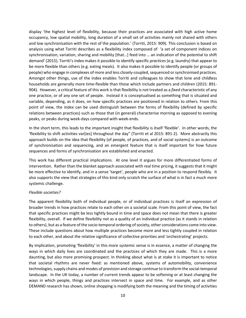display 'the highest level of flexibility, because their practices are associated with high active home occupancy, low spatial mobility, long duration of a small set of activities mainly not shared with others and low synchronisation with the rest of the population.' (Torriti, 2015: 909). This conclusion is based on analysis using what Torriti describes as a flexibility index composed of 'a set of component indices on synchronisation, variation, sharing and mobility [that…] feed into … an indication of the potential to shift demand' (2015). Torriti's index makes it possible to identify specific *practices* (e.g. laundry) that appear to be more flexible than others (e.g. eating meals). It also makes it possible to identify people (or groups of people) who engage in complexes of more and less closely-coupled, sequenced or synchronised practices. Amongst other things, use of the index enables Torriti and colleagues to show that lone and childless households are generally more time-flexible than those which include partners and children (2015: 891- 904). However, a critical feature of this work is that flexibility is not treated as a *fixed* characteristic of any one practice, or of any one set of people. Instead it is conceptualised as something that is situated and variable, depending, as it does, on how specific practices are positioned in relation to others. From this point of view, the index can be used distinguish between the forms of flexibility (defined by specific relations between practices) such as those that (in general) characterise morning as opposed to evening peaks, or peaks during week-days compared with week-ends.

In the short term, this leads to the important insight that flexibility is itself 'flexible'. In other words, the 'flexibility to shift activities var[ies] throughout the day" (Torriti et al 2015: 891-2). More abstractly this approach builds on the idea that flexibility (of people, of practices, and of social systems) is an outcome of synchronisation and sequencing, and an emergent feature that is itself important for how future sequences and forms of synchronisation are established and enacted.

This work has different practical implications. At one level it argues for more differentiated forms of intervention. Rather than the blanket approach associated with real time pricing, it suggests that it might be more effective to identify, and in a sense 'target', people who are in a position to respond flexibly. It also supports the view that strategies of this kind only scratch the surface of what is in fact a much more systemic challenge.

#### *Flexible societies?*

The apparent flexibility both of individual people, or of individual practices is itself an expression of broader trends in how practices relate to each other on a societal scale. From this point of view, the fact that specific practices might be less tightly bound in time and space does not mean that there is greater flexibility, overall. If we define flexibility not as a quality of an individual practice (as it stands in relation to others), but as a feature of the socio-temporal ordering of society, other considerations come into view. These include questions about how multiple practices become more and less tightly coupled in relation to each other, and about the relative significance of collective priorities and 'orchestrating' projects.

By implication, promoting 'flexibility' in this more systemic sense is in essence, a matter of changing the ways in which daily lives are coordinated and the practices of which they are made. This is a more daunting, but also more promising prospect. In thinking about what is at stake it is important to notice that societal rhythms are never fixed: as mentioned above, systems of automobility, convenience technologies, supply chains and modes of provision and storage continue to transform the social-temporal landscape. In the UK today, a number of current trends appear to be softening or at least changing the ways in which people, things and practices intersect in space and time. For example, and as other DEMAND research has shown, online shopping is modifying both the meaning and the timing of activities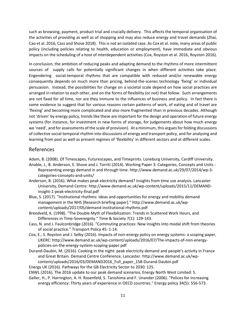such as browsing, payment, product trial and crucially delivery. This affects the temporal organisation of the activities of providing as well as of shopping and may also reduce energy and travel demands (Zhai, Cao et al. 2016, Cass and Shove 2018). This is not an isolated case. As Cox et al. note, many areas of public policy (including policies relating to health, education or employment), have immediate and obvious impacts on the scheduling of a host of interdependent activities (Cox, Royston et al. 2016, Royston 2016).

In conclusion, the ambition of reducing peaks and adapting demand to the rhythms of more intermittent sources of supply calls for potentially significant changes in when different activities take place. Engendering social-temporal rhythms that are compatible with reduced and/or renewable energy consequently depends on much more than pricing, behind-the-scenes technology 'fixing' or individual persuasion. Instead, the possibilities for change on a societal scale depend on how social practices are arranged in relation to each other, and on the forms of flexibility (or not) that follow. Such arrangements are not fixed for all time, nor are they immune to the influences of business and policy. In fact there is some evidence to suggest that for various reasons certain patterns of work, of eating and of travel are 'flexing' and becoming more complicated and also more fragmented than in previous decades. Although not 'driven' by energy policy, trends like these are important for the design and operation of future energy systems (for instance, for investment in new forms of storage, for judgements about how much energy we 'need', and for assessments of the scale of provision). At a minimum, this argues for folding discussions of collective social-temporal rhythm into discussions of energy and transport policy, and for analysing and learning from past as well as present regimes of 'flexibility' in different sectors and at different scales.

#### References

Adam, B. (2008). Of Timescapes, Futurescapes, and Timeprints. Lüneburg University, Cardiff University.

- Anable, J., B. Anderson, E. Shove and J. Torriti (2014). Working Paper 3: Categories, Concepts and Units Representing energy demand in and through time. http://www.demand.ac.uk/29/07/2014/wp-3 categories-concepts-and-units/
- Anderson, B. (2016). What makes peak electricity demand? Insights from time use analysis. Lancaster University, Demand Centre: http://www.demand.ac.uk/wp-content/uploads/2015/11/DEMANDinsight-1-peak-electricity-final.pdf
- Blue, S. (2017). "Institutional rhythms: ideas and opportunities for energy and mobility demand management in the NHS [Research briefing paper]." http://www.demand.ac.uk/wpcontent/uploads/2017/05/demand-institutional-rhythms.pdf
- Breedveld, K. (1998). "The Double Myth of Flexibilization: Trends in Scattered Work Hours, and Differences in Time-Sovereignty." Time & Society 7(1): 129-143.
- Cass, N. and J. Faulconbridge (2016). "Commuting practices: New insights into modal shift from theories of social practice." Transport Policy 45: 1-14.
- Cox, E., S. Royston and J. Selby (2016). Impacts of non-energy policy on energy systems: a scoping paper, UKERC: http://www.demand.ac.uk/wp-content/uploads/2016/07/The-impacts-of-non-energypolicies-on-the-energy-system-scoping-paper.pdf
- Durand-Daubin, M. (2016). Cooking in the night: peak electricity demand and people's activity in France and Great Britain. Demand Centre Conference. Lancaster. http://www.demand.ac.uk/wpcontent/uploads/2016/03/DEMAND2016\_Full\_paper\_158-Durand-Daubin.pdf

Energy UK (2016). Pathways for the GB Electricity Sector to 2030: 125.

ENWL (2016). The 2016 update to our peak demand scenarios, Energy North West Limited: 5.

Geller, H., P. Harrington, A. H. Rosenfeld, S. Tanishima and F. Unander (2006). "Polices for increasing energy efficiency: Thirty years of experience in OECD countries." Energy policy 34(5): 556-573.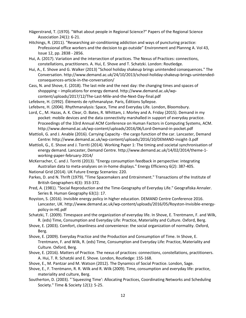- Hägerstrand, T. (1970). "What about people in Regional Science?" Papers of the Regional Science Association 24(1): 6-21.
- Hitchings, R. (2011). "Researching air-conditioning addiction and ways of puncturing practice: Professional office workers and the decision to go outside" Environment and Plannng A. Vol 43, Issue 12, pp. 2838 - 2856.
- Hui, A. (2017). Variation and the intersection of practices. The Nexus of Practices: connections, constellations, practitioners. A. Hui, E. Shove and T. Schatzki. London: Routledge.
- Hui, A., E. Shove and G. Walker (2013) "School holiday shakeup brings unintended consequences." The Conversation. http://www.demand.ac.uk/24/10/2013/school-holiday-shakeup-brings-unintendedconsequences-article-in-the-conversation/
- Cass, N. and Shove, E. (2018). The last mile and the next day: the changing times and spaces of shoppping – implications for energy demand. http://www.demand.ac.uk/wpcontent/uploads/2017/12/The-Last-Mile-and-the-Next-Day-final.pdf
- Lefebvre, H. (1992). Éléments de rythmanalyse. Paris, Éditions Syllepse.
- Lefebvre, H. (2004). Rhythmanalysis: Space, Time and Everyday Life. London, Bloomsbury.
- Lord, C., M. Hazas, A. K. Clear, O. Bates, R. Whittam, J. Morley and A. Friday (2015). Demand in my pocket: mobile devices and the data connectivity marshalled in support of everyday practice. Proceedings of the 33rd Annual ACM Conference on Human Factors in Computing Systems, ACM. http://www.demand.ac.uk/wp-content/uploads/2016/06/Lord-Demand-in-pocket.pdf
- Mattioli, G. and J. Anable (2016). Carrying Capacity the cargo function of the car. Lancaster, Demand Centre: http://www.demand.ac.uk/wp-content/uploads/2016/10/DEMAND-insight-3.pdf
- Mattioli, G., E. Shove and J. Torriti (2014). Working Paper 1: The timing and societal synchronisation of energy demand. Lancaster, Demand Centre. http://www.demand.ac.uk/14/02/2014/theme-1 working-paper-february-2014/
- McKerracher, C. and J. Torriti (2013). "Energy consumption feedback in perspective: integrating Australian data to meta-analyses on in-home displays." Energy Efficiency 6(2): 387-405.

National Grid (2014). UK Future Energy Scenarios: 220.

- Parkes, D. and N. Thrift (1979). "Time Spacemakers and Entrainment." Transactions of the Institute of British Geographers 4(3): 353-372.
- Pred, A. (1981). "Social Reproduction and the Time-Geography of Everyday Life." Geografiska Annaler. Series B. Human Geography 63(1): 17.
- Royston, S. (2016). Invisible energy policy in higher education. DEMAND Centre Conference 2016. Lancaster, UK. http://www.demand.ac.uk/wp-content/uploads/2016/05/Royston-Invisible-energypolicy-in-HE.pdf
- Schatzki, T. (2009). Timespace and the organization of everyday life. In Shove, E. Trentmann, F. and Wilk, R. (eds) Time, Consumption and Everyday Life: Practice, Materiality and Culture. Oxford, Berg.
- Shove, E. (2003). Comfort, cleanliness and convenience: the social organization of normality. Oxford, Berg.
- Shove, E. (2009). Everyday Practice and the Production and Consumption of Time. In Shove, E. Trentmann, F. and Wilk, R. (eds) Time, Consumption and Everyday Life: Practice, Materiality and Culture. Oxford, Berg.
- Shove, E. (2016). Matters of Practice. The nexus of practices: connections, constellations, practitioners. A. Hui, T. R. Schatzki and E. Shove. London, Routledge: 155-168.
- Shove, E., M. Pantzar and M. Watson (2012). The Dynamics of Social Practice. London, Sage.
- Shove, E., F. Trentmann, R. R. Wilk and R. Wilk (2009). Time, consumption and everyday life: practice, materiality and culture, Berg.
- Southerton, D. (2003). "`Squeezing Time': Allocating Practices, Coordinating Networks and Scheduling Society." Time & Society 12(1): 5-25.